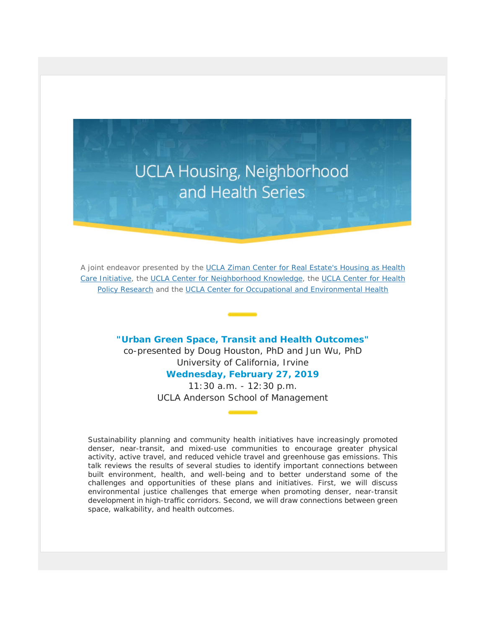# **UCLA Housing, Neighborhood** and Health Series

A joint endeavor presented by the [UCLA Ziman Center for Real Estate's Housing as Health](https://t.e2ma.net/click/mx5t9b/ebfwtv/qs0dnx)  [Care Initiative,](https://t.e2ma.net/click/mx5t9b/ebfwtv/qs0dnx) the [UCLA Center for Neighborhood Knowledge,](https://t.e2ma.net/click/mx5t9b/ebfwtv/6k1dnx) the [UCLA Center for Health](https://t.e2ma.net/click/mx5t9b/ebfwtv/md2dnx)  [Policy Research](https://t.e2ma.net/click/mx5t9b/ebfwtv/md2dnx) and the [UCLA Center for Occupational and Environmental Health](https://t.e2ma.net/click/mx5t9b/ebfwtv/252dnx)

### **"Urban Green Space, Transit and Health Outcomes"**

co-presented by Doug Houston, PhD and Jun Wu, PhD University of California, Irvine

## **Wednesday, February 27, 2019**

11:30 a.m. - 12:30 p.m. UCLA Anderson School of Management

Sustainability planning and community health initiatives have increasingly promoted denser, near-transit, and mixed-use communities to encourage greater physical activity, active travel, and reduced vehicle travel and greenhouse gas emissions. This talk reviews the results of several studies to identify important connections between built environment, health, and well-being and to better understand some of the challenges and opportunities of these plans and initiatives. First, we will discuss environmental justice challenges that emerge when promoting denser, near-transit development in high-traffic corridors. Second, we will draw connections between green space, walkability, and health outcomes.